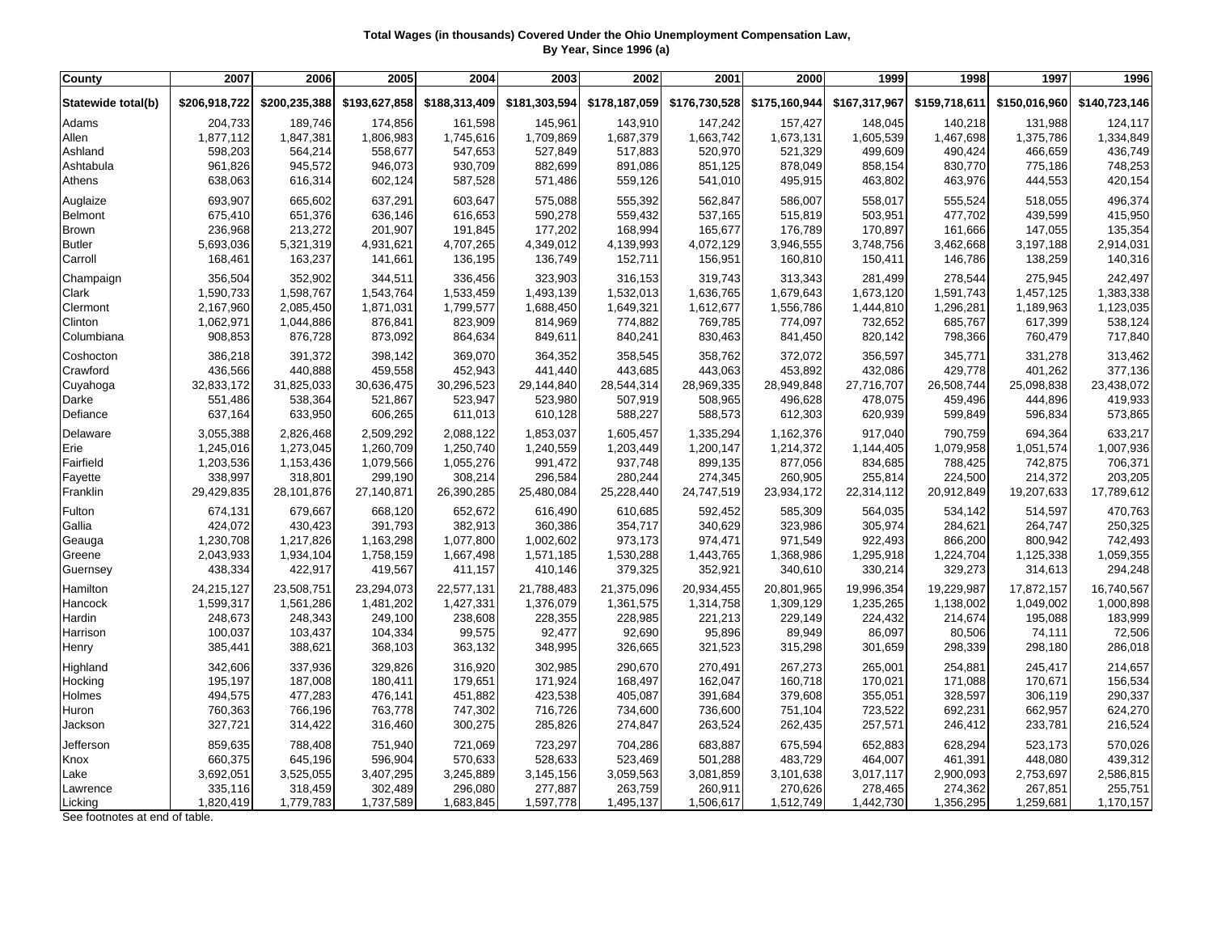## **Total Wages (in thousands) Covered Under the Ohio Unemployment Compensation Law, By Year, Since 1996 (a)**

| County             | 2007          | 2006          | 2005          | 2004          | 2003          | 2002          | 2001          | 2000          | 1999          | 1998          | 1997          | 1996          |
|--------------------|---------------|---------------|---------------|---------------|---------------|---------------|---------------|---------------|---------------|---------------|---------------|---------------|
| Statewide total(b) | \$206,918,722 | \$200,235,388 | \$193,627,858 | \$188,313,409 | \$181,303,594 | \$178,187,059 | \$176,730,528 | \$175,160,944 | \$167,317,967 | \$159,718,611 | \$150,016,960 | \$140,723,146 |
| Adams              | 204,733       | 189,746       | 174,856       | 161,598       | 145,961       | 143,910       | 147,242       | 157,427       | 148,045       | 140,218       | 131,988       | 124,117       |
| Allen              | 1,877,112     | 1,847,381     | 1,806,983     | 1,745,616     | 1,709,869     | 1,687,379     | 1,663,742     | 1,673,131     | 1,605,539     | 1,467,698     | 1,375,786     | 1,334,849     |
| Ashland            | 598,203       | 564,214       | 558,677       | 547,653       | 527,849       | 517,883       | 520,970       | 521,329       | 499,609       | 490,424       | 466,659       | 436,749       |
| Ashtabula          | 961,826       | 945,572       | 946,073       | 930,709       | 882,699       | 891,086       | 851,125       | 878,049       | 858,154       | 830,770       | 775,186       | 748,253       |
| Athens             | 638,063       | 616,314       | 602,124       | 587,528       | 571,486       | 559,126       | 541,010       | 495,915       | 463,802       | 463,976       | 444,553       | 420,154       |
| Auglaize           | 693,907       | 665,602       | 637,291       | 603,647       | 575,088       | 555,392       | 562,847       | 586,007       | 558,017       | 555,524       | 518,055       | 496,374       |
| Belmont            | 675,410       | 651,376       | 636,146       | 616,653       | 590,278       | 559,432       | 537,165       | 515,819       | 503,951       | 477,702       | 439,599       | 415,950       |
| <b>Brown</b>       | 236,968       | 213,272       | 201,907       | 191,845       | 177,202       | 168,994       | 165,677       | 176,789       | 170,897       | 161,666       | 147,055       | 135,354       |
| <b>Butler</b>      | 5,693,036     | 5,321,319     | 4,931,621     | 4,707,265     | 4,349,012     | 4,139,993     | 4,072,129     | 3,946,555     | 3,748,756     | 3,462,668     | 3,197,188     | 2,914,031     |
| Carroll            | 168,461       | 163,237       | 141,661       | 136,195       | 136,749       | 152,711       | 156,951       | 160,810       | 150,411       | 146,786       | 138,259       | 140,316       |
| Champaign          | 356,504       | 352,902       | 344,511       | 336,456       | 323,903       | 316,153       | 319,743       | 313,343       | 281,499       | 278,544       | 275,945       | 242,497       |
| Clark              | 1,590,733     | 1,598,767     | 1,543,764     | 1,533,459     | 1,493,139     | 1,532,013     | 1,636,765     | 1,679,643     | 1,673,120     | 1,591,743     | 1,457,125     | 1,383,338     |
| Clermont           | 2,167,960     | 2,085,450     | 1,871,031     | 1,799,577     | 1,688,450     | 1,649,321     | 1,612,677     | 1,556,786     | 1,444,810     | 1,296,281     | 1,189,963     | 1,123,035     |
| Clinton            | 1,062,971     | 1,044,886     | 876,841       | 823,909       | 814,969       | 774,882       | 769,785       | 774,097       | 732,652       | 685,767       | 617,399       | 538,124       |
| Columbiana         | 908,853       | 876,728       | 873,092       | 864,634       | 849,611       | 840,241       | 830,463       | 841,450       | 820,142       | 798,366       | 760,479       | 717,840       |
| Coshocton          | 386,218       | 391,372       | 398,142       | 369,070       | 364,352       | 358,545       | 358,762       | 372,072       | 356,597       | 345,771       | 331,278       | 313,462       |
| Crawford           | 436,566       | 440,888       | 459,558       | 452,943       | 441,440       | 443,685       | 443,063       | 453,892       | 432,086       | 429,778       | 401,262       | 377,136       |
| Cuyahoga           | 32,833,172    | 31,825,033    | 30,636,475    | 30,296,523    | 29,144,840    | 28,544,314    | 28,969,335    | 28,949,848    | 27,716,707    | 26,508,744    | 25,098,838    | 23,438,072    |
| Darke              | 551,486       | 538,364       | 521,867       | 523,947       | 523,980       | 507,919       | 508,965       | 496,628       | 478,075       | 459,496       | 444,896       | 419,933       |
| Defiance           | 637,164       | 633,950       | 606,265       | 611,013       | 610,128       | 588,227       | 588,573       | 612,303       | 620,939       | 599,849       | 596,834       | 573,865       |
| Delaware           | 3,055,388     | 2,826,468     | 2,509,292     | 2,088,122     | 1,853,037     | 1,605,457     | 1,335,294     | 1,162,376     | 917,040       | 790,759       | 694,364       | 633,217       |
| Erie               | 1,245,016     | 1,273,045     | 1,260,709     | 1,250,740     | 1,240,559     | 1,203,449     | 1,200,147     | 1,214,372     | 1,144,405     | 1,079,958     | 1,051,574     | 1,007,936     |
| Fairfield          | 1,203,536     | 1,153,436     | 1,079,566     | 1,055,276     | 991,472       | 937,748       | 899,135       | 877,056       | 834,685       | 788,425       | 742,875       | 706,371       |
| Fayette            | 338,997       | 318,801       | 299,190       | 308,214       | 296,584       | 280,244       | 274,345       | 260,905       | 255,814       | 224,500       | 214,372       | 203,205       |
| Franklin           | 29,429,835    | 28,101,876    | 27,140,871    | 26,390,285    | 25,480,084    | 25,228,440    | 24,747,519    | 23,934,172    | 22,314,112    | 20,912,849    | 19,207,633    | 17,789,612    |
| Fulton             | 674,131       | 679,667       | 668,120       | 652,672       | 616,490       | 610,685       | 592,452       | 585,309       | 564,035       | 534,142       | 514,597       | 470,763       |
| Gallia             | 424,072       | 430,423       | 391,793       | 382,913       | 360,386       | 354,717       | 340,629       | 323,986       | 305,974       | 284,621       | 264,747       | 250,325       |
| Geauga             | 1,230,708     | 1,217,826     | 1,163,298     | 1,077,800     | 1,002,602     | 973,173       | 974,471       | 971,549       | 922,493       | 866,200       | 800,942       | 742,493       |
| Greene             | 2,043,933     | 1,934,104     | 1,758,159     | 1,667,498     | 1,571,185     | 1,530,288     | 1,443,765     | 1,368,986     | 1,295,918     | 1,224,704     | 1,125,338     | 1,059,355     |
| Guernsey           | 438,334       | 422,917       | 419,567       | 411,157       | 410,146       | 379,325       | 352,921       | 340,610       | 330,214       | 329,273       | 314,613       | 294,248       |
| Hamilton           | 24,215,127    | 23,508,751    | 23,294,073    | 22,577,131    | 21,788,483    | 21,375,096    | 20,934,455    | 20,801,965    | 19,996,354    | 19,229,987    | 17,872,157    | 16,740,567    |
| Hancock            | 1,599,317     | 1,561,286     | 1,481,202     | 1,427,331     | 1,376,079     | 1,361,575     | 1,314,758     | 1,309,129     | 1,235,265     | 1,138,002     | 1,049,002     | 1,000,898     |
| Hardin             | 248,673       | 248,343       | 249,100       | 238,608       | 228,355       | 228,985       | 221,213       | 229,149       | 224,432       | 214,674       | 195,088       | 183,999       |
| Harrison           | 100,037       | 103,437       | 104,334       | 99,575        | 92,477        | 92,690        | 95,896        | 89,949        | 86,097        | 80,506        | 74,111        | 72,506        |
| Henry              | 385,441       | 388,621       | 368,103       | 363,132       | 348,995       | 326,665       | 321,523       | 315,298       | 301,659       | 298,339       | 298,180       | 286,018       |
| Highland           | 342,606       | 337,936       | 329,826       | 316,920       | 302,985       | 290,670       | 270,491       | 267,273       | 265,001       | 254,881       | 245,417       | 214,657       |
| Hocking            | 195,197       | 187,008       | 180,411       | 179,651       | 171,924       | 168,497       | 162,047       | 160,718       | 170,021       | 171,088       | 170,671       | 156,534       |
| Holmes             | 494,575       | 477,283       | 476,141       | 451,882       | 423,538       | 405,087       | 391,684       | 379,608       | 355,051       | 328,597       | 306,119       | 290,337       |
| Huron              | 760,363       | 766,196       | 763,778       | 747,302       | 716,726       | 734,600       | 736,600       | 751,104       | 723,522       | 692,231       | 662,957       | 624,270       |
| Jackson            | 327,721       | 314,422       | 316,460       | 300,275       | 285,826       | 274,847       | 263,524       | 262,435       | 257,571       | 246,412       | 233,781       | 216,524       |
| Jefferson          | 859,635       | 788,408       | 751,940       | 721,069       | 723,297       | 704,286       | 683,887       | 675,594       | 652,883       | 628,294       | 523,173       | 570,026       |
| Knox               | 660,375       | 645,196       | 596,904       | 570,633       | 528,633       | 523,469       | 501,288       | 483,729       | 464,007       | 461,391       | 448,080       | 439,312       |
| Lake               | 3,692,051     | 3,525,055     | 3,407,295     | 3,245,889     | 3,145,156     | 3,059,563     | 3,081,859     | 3,101,638     | 3,017,117     | 2,900,093     | 2,753,697     | 2,586,815     |
| Lawrence           | 335,116       | 318,459       | 302,489       | 296,080       | 277,887       | 263,759       | 260,911       | 270,626       | 278,465       | 274,362       | 267,851       | 255,751       |
| Licking            | 1,820,419     | 1,779,783     | 1,737,589     | 1,683,845     | 1,597,778     | 1,495,137     | 1,506,617     | 1,512,749     | 1,442,730     | 1,356,295     | 1,259,681     | 1,170,157     |

See footnotes at end of table.